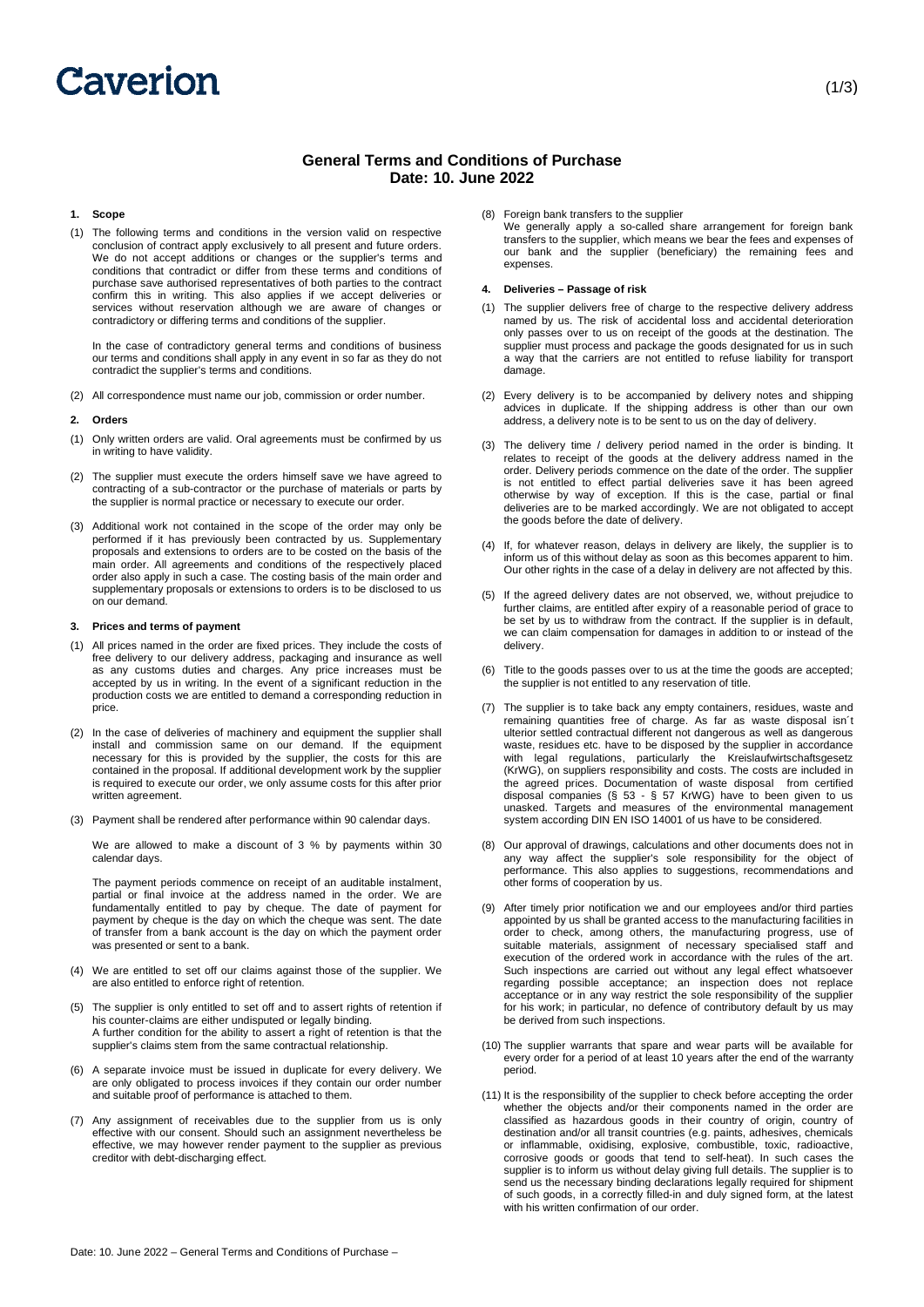# Caverion

# **General Terms and Conditions of Purchase Date: 10. June 2022**

# **1. Scope**

(1) The following terms and conditions in the version valid on respective conclusion of contract apply exclusively to all present and future orders. We do not accept additions or changes or the supplier's terms and conditions that contradict or differ from these terms and conditions of purchase save authorised representatives of both parties to the contract confirm this in writing. This also applies if we accept deliveries or services without reservation although we are aware of changes or contradictory or differing terms and conditions of the supplier.

In the case of contradictory general terms and conditions of business our terms and conditions shall apply in any event in so far as they do not contradict the supplier's terms and conditions.

(2) All correspondence must name our job, commission or order number.

#### **2. Orders**

- (1) Only written orders are valid. Oral agreements must be confirmed by us in writing to have validity.
- (2) The supplier must execute the orders himself save we have agreed to contracting of a sub-contractor or the purchase of materials or parts by the supplier is normal practice or necessary to execute our order.
- (3) Additional work not contained in the scope of the order may only be performed if it has previously been contracted by us. Supplementary proposals and extensions to orders are to be costed on the basis of the main order. All agreements and conditions of the respectively placed order also apply in such a case. The costing basis of the main order and supplementary proposals or extensions to orders is to be disclosed to us on our demand.

## **3. Prices and terms of payment**

- (1) All prices named in the order are fixed prices. They include the costs of free delivery to our delivery address, packaging and insurance as well as any customs duties and charges. Any price increases must be accepted by us in writing. In the event of a significant reduction in the production costs we are entitled to demand a corresponding reduction in price.
- (2) In the case of deliveries of machinery and equipment the supplier shall install and commission same on our demand. If the equipment necessary for this is provided by the supplier, the costs for this are contained in the proposal. If additional development work by the supplier is required to execute our order, we only assume costs for this after prior written agreement.
- (3) Payment shall be rendered after performance within 90 calendar days.

We are allowed to make a discount of 3 % by payments within 30 calendar days.

The payment periods commence on receipt of an auditable instalment, partial or final invoice at the address named in the order. We are fundamentally entitled to pay by cheque. The date of payment for payment by cheque is the day on which the cheque was sent. The date of transfer from a bank account is the day on which the payment order was presented or sent to a bank.

- (4) We are entitled to set off our claims against those of the supplier. We are also entitled to enforce right of retention.
- (5) The supplier is only entitled to set off and to assert rights of retention if his counter-claims are either undisputed or legally binding. A further condition for the ability to assert a right of retention is that the supplier's claims stem from the same contractual relationship
- (6) A separate invoice must be issued in duplicate for every delivery. We are only obligated to process invoices if they contain our order number and suitable proof of performance is attached to them.
- (7) Any assignment of receivables due to the supplier from us is only effective with our consent. Should such an assignment nevertheless be effective, we may however render payment to the supplier as previous creditor with debt-discharging effect.

## (8) Foreign bank transfers to the supplier

We generally apply a so-called share arrangement for foreign bank transfers to the supplier, which means we bear the fees and expenses of our bank and the supplier (beneficiary) the remaining fees and expenses.

#### **4. Deliveries – Passage of risk**

- (1) The supplier delivers free of charge to the respective delivery address named by us. The risk of accidental loss and accidental deterioration only passes over to us on receipt of the goods at the destination. The supplier must process and package the goods designated for us in such a way that the carriers are not entitled to refuse liability for transport damage.
- (2) Every delivery is to be accompanied by delivery notes and shipping advices in duplicate. If the shipping address is other than our own address, a delivery note is to be sent to us on the day of delivery.
- (3) The delivery time / delivery period named in the order is binding. It relates to receipt of the goods at the delivery address named in the order. Delivery periods commence on the date of the order. The supplier is not entitled to effect partial deliveries save it has been agreed otherwise by way of exception. If this is the case, partial or final deliveries are to be marked accordingly. We are not obligated to accept the goods before the date of delivery.
- (4) If, for whatever reason, delays in delivery are likely, the supplier is to inform us of this without delay as soon as this becomes apparent to him. Our other rights in the case of a delay in delivery are not affected by this.
- (5) If the agreed delivery dates are not observed, we, without prejudice to further claims, are entitled after expiry of a reasonable period of grace to be set by us to withdraw from the contract. If the supplier is in default, we can claim compensation for damages in addition to or instead of the delivery.
- (6) Title to the goods passes over to us at the time the goods are accepted; the supplier is not entitled to any reservation of title.
- (7) The supplier is to take back any empty containers, residues, waste and remaining quantities free of charge. As far as waste disposal isn´t ulterior settled contractual different not dangerous as well as dangerous waste, residues etc. have to be disposed by the supplier in accordance with legal regulations, particularly the Kreislaufwirtschaftsgesetz (KrWG), on suppliers responsibility and costs. The costs are included in the agreed prices. Documentation of waste disposal from certified disposal companies (§ 53 - § 57 KrWG) have to been given to us unasked. Targets and measures of the environmental management system according DIN EN ISO 14001 of us have to be considered.
- (8) Our approval of drawings, calculations and other documents does not in any way affect the supplier's sole responsibility for the object of performance. This also applies to suggestions, recommendations and other forms of cooperation by us.
- (9) After timely prior notification we and our employees and/or third parties appointed by us shall be granted access to the manufacturing facilities in order to check, among others, the manufacturing progress, use of suitable materials, assignment of necessary specialised staff and execution of the ordered work in accordance with the rules of the art. Such inspections are carried out without any legal effect whatsoever regarding possible acceptance; an inspection does not replace acceptance or in any way restrict the sole responsibility of the supplier for his work; in particular, no defence of contributory default by us may be derived from such inspections.
- (10) The supplier warrants that spare and wear parts will be available for every order for a period of at least 10 years after the end of the warranty period.
- (11) It is the responsibility of the supplier to check before accepting the order whether the objects and/or their components named in the order are classified as hazardous goods in their country of origin, country of destination and/or all transit countries (e.g. paints, adhesives, chemicals or inflammable, oxidising, explosive, combustible, toxic, radioactive, corrosive goods or goods that tend to self-heat). In such cases the supplier is to inform us without delay giving full details. The supplier is to send us the necessary binding declarations legally required for shipment of such goods, in a correctly filled-in and duly signed form, at the latest with his written confirmation of our order.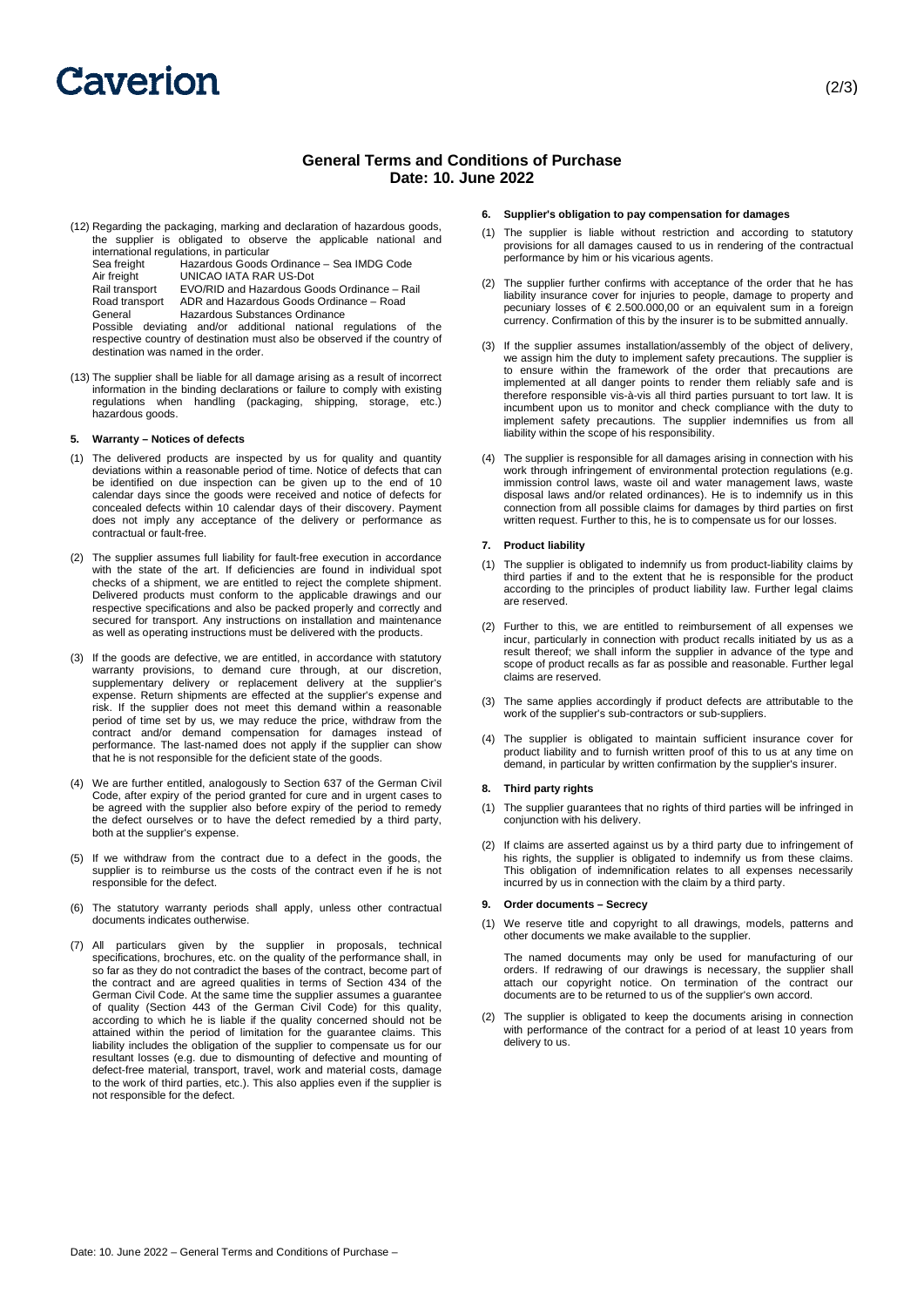# Caverion

# **General Terms and Conditions of Purchase Date: 10. June 2022**

(12) Regarding the packaging, marking and declaration of hazardous goods, the supplier is obligated to observe the applicable national and international regulations, in particular<br>Sea freight<br>Hazardous Goods

Sea freight Hazardous Goods Ordinance – Sea IMDG Code UNICAO IATA RAR US-Dot Rail transport EVO/RID and Hazardous Goods Ordinance – Rail Road transport ADR and Hazardous Goods Ordinance – Road Hazardous Substances Ordinance Possible deviating and/or additional national regulations of the respective country of destination must also be observed if the country of destination was named in the order.

(13) The supplier shall be liable for all damage arising as a result of incorrect information in the binding declarations or failure to comply with existing regulations when handling (packaging, shipping, storage, etc.) hazardous goods.

## **5. Warranty – Notices of defects**

- (1) The delivered products are inspected by us for quality and quantity deviations within a reasonable period of time. Notice of defects that can be identified on due inspection can be given up to the end of 10 calendar days since the goods were received and notice of defects for concealed defects within 10 calendar days of their discovery. Payment does not imply any acceptance of the delivery or performance as contractual or fault-free.
- (2) The supplier assumes full liability for fault-free execution in accordance with the state of the art. If deficiencies are found in individual spot checks of a shipment, we are entitled to reject the complete shipment. Delivered products must conform to the applicable drawings and our respective specifications and also be packed properly and correctly and secured for transport. Any instructions on installation and maintenance as well as operating instructions must be delivered with the products.
- (3) If the goods are defective, we are entitled, in accordance with statutory warranty provisions, to demand cure through, at our discretion, supplementary delivery or replacement delivery at the supplier's expense. Return shipments are effected at the supplier's expense and risk. If the supplier does not meet this demand within a reasonable period of time set by us, we may reduce the price, withdraw from the contract and/or demand compensation for damages instead of performance. The last-named does not apply if the supplier can show that he is not responsible for the deficient state of the goods.
- (4) We are further entitled, analogously to Section 637 of the German Civil Code, after expiry of the period granted for cure and in urgent cases to be agreed with the supplier also before expiry of the period to remedy the defect ourselves or to have the defect remedied by a third party, both at the supplier's expense.
- (5) If we withdraw from the contract due to a defect in the goods, the supplier is to reimburse us the costs of the contract even if he is not responsible for the defect.
- (6) The statutory warranty periods shall apply, unless other contractual documents indicates outherwise.
- (7) All particulars given by the supplier in proposals, technical specifications, brochures, etc. on the quality of the performance shall, in so far as they do not contradict the bases of the contract, become part of the contract and are agreed qualities in terms of Section 434 of the German Civil Code. At the same time the supplier assumes a guarantee of quality (Section 443 of the German Civil Code) for this quality, according to which he is liable if the quality concerned should not be attained within the period of limitation for the guarantee claims. This liability includes the obligation of the supplier to compensate us for our resultant losses (e.g. due to dismounting of defective and mounting of defect-free material, transport, travel, work and material costs, damage to the work of third parties, etc.). This also applies even if the supplier is not responsible for the defect.
- **6. Supplier's obligation to pay compensation for damages**
- (1) The supplier is liable without restriction and according to statutory provisions for all damages caused to us in rendering of the contractual performance by him or his vicarious agents.
- (2) The supplier further confirms with acceptance of the order that he has liability insurance cover for injuries to people, damage to property and pecuniary losses of € 2.500.000,00 or an equivalent sum in a foreign currency. Confirmation of this by the insurer is to be submitted annually.
- (3) If the supplier assumes installation/assembly of the object of delivery, we assign him the duty to implement safety precautions. The supplier is to ensure within the framework of the order that precautions are implemented at all danger points to render them reliably safe and is therefore responsible vis-à-vis all third parties pursuant to tort law. It is incumbent upon us to monitor and check compliance with the duty to implement safety precautions. The supplier indemnifies us from all liability within the scope of his responsibility.
- (4) The supplier is responsible for all damages arising in connection with his work through infringement of environmental protection regulations (e.g. immission control laws, waste oil and water management laws, waste disposal laws and/or related ordinances). He is to indemnify us in this connection from all possible claims for damages by third parties on first written request. Further to this, he is to compensate us for our losses.

#### **7. Product liability**

- (1) The supplier is obligated to indemnify us from product-liability claims by third parties if and to the extent that he is responsible for the product according to the principles of product liability law. Further legal claims are reserved.
- (2) Further to this, we are entitled to reimbursement of all expenses we incur, particularly in connection with product recalls initiated by us as a result thereof; we shall inform the supplier in advance of the type and scope of product recalls as far as possible and reasonable. Further legal claims are reserved.
- (3) The same applies accordingly if product defects are attributable to the work of the supplier's sub-contractors or sub-suppliers.
- (4) The supplier is obligated to maintain sufficient insurance cover for product liability and to furnish written proof of this to us at any time on demand, in particular by written confirmation by the supplier's insurer.

# **8. Third party rights**

- (1) The supplier guarantees that no rights of third parties will be infringed in conjunction with his delivery.
- (2) If claims are asserted against us by a third party due to infringement of his rights, the supplier is obligated to indemnify us from these claims. This obligation of indemnification relates to all expenses necessarily incurred by us in connection with the claim by a third party.

# **9. Order documents – Secrecy**

(1) We reserve title and copyright to all drawings, models, patterns and other documents we make available to the supplier.

The named documents may only be used for manufacturing of our orders. If redrawing of our drawings is necessary, the supplier shall attach our copyright notice. On termination of the contract our documents are to be returned to us of the supplier's own accord.

(2) The supplier is obligated to keep the documents arising in connection with performance of the contract for a period of at least 10 years from delivery to us.